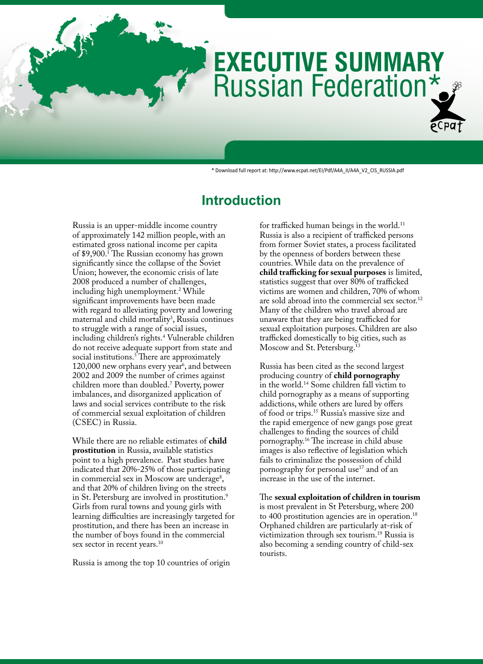# Russian Federation\* **EXECUTIVE SUMMARY**

\* Download full report at: http://www.ecpat.net/EI/Pdf/A4A\_II/A4A\_V2\_CIS\_RUSSIA.pdf

## **Introduction**

Russia is an upper-middle income country of approximately 142 million people, with an estimated gross national income per capita of \$9,900.1 The Russian economy has grown significantly since the collapse of the Soviet Union; however, the economic crisis of late 2008 produced a number of challenges, including high unemployment.2 While significant improvements have been made with regard to alleviating poverty and lowering maternal and child mortality<sup>3</sup>, Russia continues to struggle with a range of social issues, including children's rights.4 Vulnerable children do not receive adequate support from state and social institutions.<sup>5</sup> There are approximately 120,000 new orphans every year<sup>6</sup>, and between 2002 and 2009 the number of crimes against children more than doubled.7 Poverty, power imbalances, and disorganized application of laws and social services contribute to the risk of commercial sexual exploitation of children (CSEC) in Russia.

While there are no reliable estimates of **child prostitution** in Russia, available statistics point to a high prevalence. Past studies have indicated that 20%-25% of those participating in commercial sex in Moscow are underage<sup>8</sup>, and that 20% of children living on the streets in St. Petersburg are involved in prostitution.<sup>9</sup> Girls from rural towns and young girls with learning difficulties are increasingly targeted for prostitution, and there has been an increase in the number of boys found in the commercial sex sector in recent years.<sup>10</sup>

Russia is among the top 10 countries of origin

for trafficked human beings in the world.<sup>11</sup> Russia is also a recipient of trafficked persons from former Soviet states, a process facilitated by the openness of borders between these countries. While data on the prevalence of **child trafficking for sexual purposes** is limited, statistics suggest that over 80% of trafficked victims are women and children, 70% of whom are sold abroad into the commercial sex sector.<sup>12</sup> Many of the children who travel abroad are unaware that they are being trafficked for sexual exploitation purposes. Children are also trafficked domestically to big cities, such as Moscow and St. Petersburg.<sup>13</sup>

Russia has been cited as the second largest producing country of **child pornography** in the world.14 Some children fall victim to child pornography as a means of supporting addictions, while others are lured by offers of food or trips.15 Russia's massive size and the rapid emergence of new gangs pose great challenges to finding the sources of child pornography.16 The increase in child abuse images is also reflective of legislation which fails to criminalize the possession of child pornography for personal use<sup>17</sup> and of an increase in the use of the internet.

The **sexual exploitation of children in tourism** is most prevalent in St Petersburg, where 200 to 400 prostitution agencies are in operation.<sup>18</sup> Orphaned children are particularly at-risk of victimization through sex tourism.19 Russia is also becoming a sending country of child-sex tourists.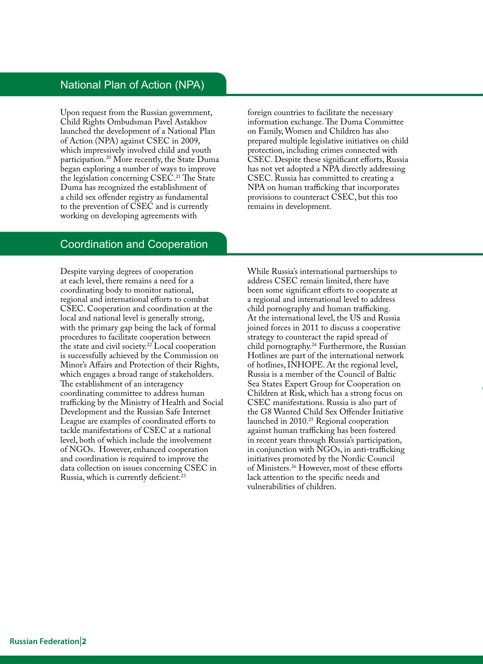## National Plan of Action (NPA)

Upon request from the Russian government, Child Rights Ombudsman Pavel Astakhov launched the development of a National Plan of Action (NPA) against CSEC in 2009, which impressively involved child and youth participation.20 More recently, the State Duma began exploring a number of ways to improve the legislation concerning CSEC.<sup>21</sup> The State Duma has recognized the establishment of a child sex offender registry as fundamental to the prevention of CSEC and is currently working on developing agreements with

foreign countries to facilitate the necessary information exchange. The Duma Committee on Family, Women and Children has also prepared multiple legislative initiatives on child protection, including crimes connected with CSEC. Despite these significant efforts, Russia has not yet adopted a NPA directly addressing CSEC. Russia has committed to creating a NPA on human trafficking that incorporates provisions to counteract CSEC, but this too remains in development.

## Coordination and Cooperation

Despite varying degrees of cooperation at each level, there remains a need for a coordinating body to monitor national, regional and international efforts to combat CSEC. Cooperation and coordination at the local and national level is generally strong, with the primary gap being the lack of formal procedures to facilitate cooperation between the state and civil society.<sup>22</sup> Local cooperation is successfully achieved by the Commission on Minor's Affairs and Protection of their Rights, which engages a broad range of stakeholders. The establishment of an interagency coordinating committee to address human trafficking by the Ministry of Health and Social Development and the Russian Safe Internet League are examples of coordinated efforts to tackle manifestations of CSEC at a national level, both of which include the involvement of NGOs. However, enhanced cooperation and coordination is required to improve the data collection on issues concerning CSEC in Russia, which is currently deficient.<sup>23</sup>

While Russia's international partnerships to address CSEC remain limited, there have been some significant efforts to cooperate at a regional and international level to address child pornography and human trafficking. At the international level, the US and Russia joined forces in 2011 to discuss a cooperative strategy to counteract the rapid spread of child pornography.24 Furthermore, the Russian Hotlines are part of the international network of hotlines, INHOPE. At the regional level, Russia is a member of the Council of Baltic Sea States Expert Group for Cooperation on Children at Risk, which has a strong focus on CSEC manifestations. Russia is also part of the G8 Wanted Child Sex Offender Initiative launched in 2010.25 Regional cooperation against human trafficking has been fostered in recent years through Russia's participation, in conjunction with NGOs, in anti-trafficking initiatives promoted by the Nordic Council of Ministers.26 However, most of these efforts lack attention to the specific needs and vulnerabilities of children.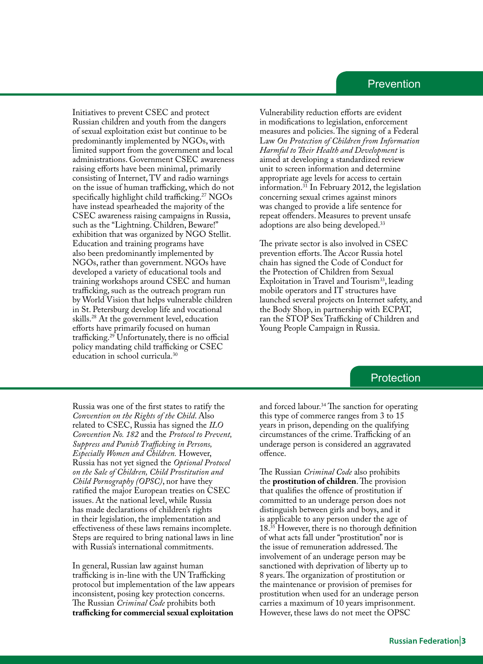## Prevention

Initiatives to prevent CSEC and protect Russian children and youth from the dangers of sexual exploitation exist but continue to be predominantly implemented by NGOs, with limited support from the government and local administrations. Government CSEC awareness raising efforts have been minimal, primarily consisting of Internet, TV and radio warnings on the issue of human trafficking, which do not specifically highlight child trafficking.<sup>27</sup> NGOs have instead spearheaded the majority of the CSEC awareness raising campaigns in Russia, such as the "Lightning. Children, Beware!" exhibition that was organized by NGO Stellit. Education and training programs have also been predominantly implemented by NGOs, rather than government. NGOs have developed a variety of educational tools and training workshops around CSEC and human trafficking, such as the outreach program run by World Vision that helps vulnerable children in St. Petersburg develop life and vocational skills.28 At the government level, education efforts have primarily focused on human trafficking.29 Unfortunately, there is no official policy mandating child trafficking or CSEC education in school curricula.30

Vulnerability reduction efforts are evident in modifications to legislation, enforcement measures and policies. The signing of a Federal Law *On Protection of Children from Information Harmful to Their Health and Development* is aimed at developing a standardized review unit to screen information and determine appropriate age levels for access to certain information.31 In February 2012, the legislation concerning sexual crimes against minors was changed to provide a life sentence for repeat offenders. Measures to prevent unsafe adoptions are also being developed.33

The private sector is also involved in CSEC prevention efforts. The Accor Russia hotel chain has signed the Code of Conduct for the Protection of Children from Sexual Exploitation in Travel and Tourism<sup>33</sup>, leading mobile operators and IT structures have launched several projects on Internet safety, and the Body Shop, in partnership with ECPAT, ran the STOP Sex Trafficking of Children and Young People Campaign in Russia.

### **Protection**

Russia was one of the first states to ratify the *Convention on the Rights of the Child*. Also related to CSEC, Russia has signed the *ILO Convention No. 182* and the *Protocol to Prevent, Suppress and Punish Trafficking in Persons, Especially Women and Children.* However, Russia has not yet signed the *Optional Protocol on the Sale of Children, Child Prostitution and Child Pornography (OPSC)*, nor have they ratified the major European treaties on CSEC issues. At the national level, while Russia has made declarations of children's rights in their legislation, the implementation and effectiveness of these laws remains incomplete. Steps are required to bring national laws in line with Russia's international commitments.

In general, Russian law against human trafficking is in-line with the UN Trafficking protocol but implementation of the law appears inconsistent, posing key protection concerns. The Russian *Criminal Code* prohibits both **trafficking for commercial sexual exploitation**

and forced labour.<sup>34</sup> The sanction for operating this type of commerce ranges from 3 to 15 years in prison, depending on the qualifying circumstances of the crime. Trafficking of an underage person is considered an aggravated offence.

The Russian *Criminal Code* also prohibits the **prostitution of children**. The provision that qualifies the offence of prostitution if committed to an underage person does not distinguish between girls and boys, and it is applicable to any person under the age of 18.35 However, there is no thorough definition of what acts fall under "prostitution" nor is the issue of remuneration addressed. The involvement of an underage person may be sanctioned with deprivation of liberty up to 8 years. The organization of prostitution or the maintenance or provision of premises for prostitution when used for an underage person carries a maximum of 10 years imprisonment. However, these laws do not meet the OPSC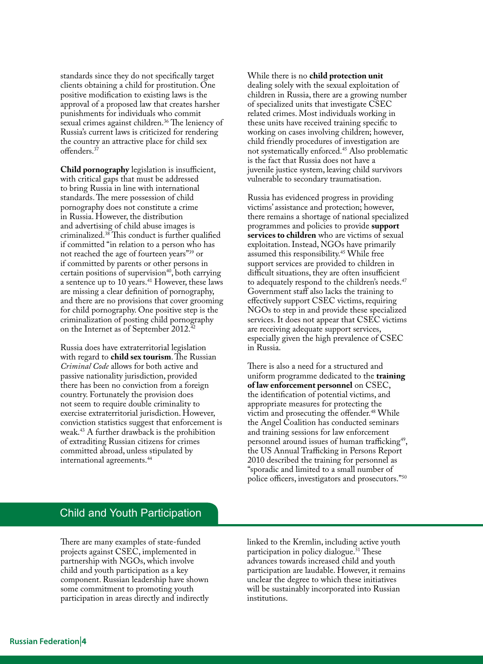standards since they do not specifically target clients obtaining a child for prostitution. One positive modification to existing laws is the approval of a proposed law that creates harsher punishments for individuals who commit sexual crimes against children.<sup>36</sup> The leniency of Russia's current laws is criticized for rendering the country an attractive place for child sex offenders.<sup>37</sup>

**Child pornography** legislation is insufficient, with critical gaps that must be addressed to bring Russia in line with international standards. The mere possession of child pornography does not constitute a crime in Russia. However, the distribution and advertising of child abuse images is criminalized.38 This conduct is further qualified if committed "in relation to a person who has not reached the age of fourteen years"39 or if committed by parents or other persons in certain positions of supervision<sup>40</sup>, both carrying a sentence up to 10 years.41 However, these laws are missing a clear definition of pornography, and there are no provisions that cover grooming for child pornography. One positive step is the criminalization of posting child pornography on the Internet as of September 2012.<sup>42</sup>

Russia does have extraterritorial legislation with regard to **child sex tourism**. The Russian *Criminal Code* allows for both active and passive nationality jurisdiction, provided there has been no conviction from a foreign country. Fortunately the provision does not seem to require double criminality to exercise extraterritorial jurisdiction. However, conviction statistics suggest that enforcement is weak.43 A further drawback is the prohibition of extraditing Russian citizens for crimes committed abroad, unless stipulated by international agreements.44

While there is no **child protection unit**  dealing solely with the sexual exploitation of children in Russia, there are a growing number of specialized units that investigate CSEC related crimes. Most individuals working in these units have received training specific to working on cases involving children; however, child friendly procedures of investigation are not systematically enforced.<sup>45</sup> Also problematic is the fact that Russia does not have a juvenile justice system, leaving child survivors vulnerable to secondary traumatisation.

Russia has evidenced progress in providing victims' assistance and protection; however, there remains a shortage of national specialized programmes and policies to provide **support services to children** who are victims of sexual exploitation. Instead, NGOs have primarily assumed this responsibility.45 While free support services are provided to children in difficult situations, they are often insufficient to adequately respond to the children's needs.<sup>47</sup> Government staff also lacks the training to effectively support CSEC victims, requiring NGOs to step in and provide these specialized services. It does not appear that CSEC victims are receiving adequate support services, especially given the high prevalence of CSEC in Russia.

There is also a need for a structured and uniform programme dedicated to the **training of law enforcement personnel** on CSEC, the identification of potential victims, and appropriate measures for protecting the victim and prosecuting the offender.<sup>48</sup> While the Angel Coalition has conducted seminars and training sessions for law enforcement personnel around issues of human trafficking<sup>49</sup>, the US Annual Trafficking in Persons Report 2010 described the training for personnel as "sporadic and limited to a small number of police officers, investigators and prosecutors."50

## Child and Youth Participation

There are many examples of state-funded projects against CSEC, implemented in partnership with NGOs, which involve child and youth participation as a key component. Russian leadership have shown some commitment to promoting youth participation in areas directly and indirectly linked to the Kremlin, including active youth participation in policy dialogue.<sup>51</sup> These advances towards increased child and youth participation are laudable. However, it remains unclear the degree to which these initiatives will be sustainably incorporated into Russian institutions.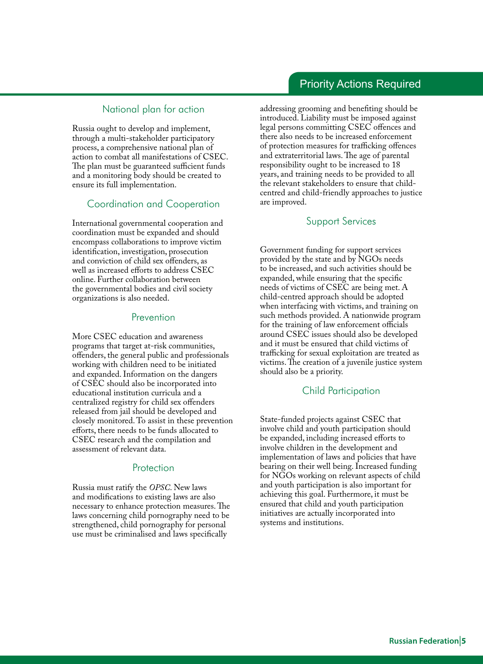## Priority Actions Required

#### National plan for action

Russia ought to develop and implement, through a multi-stakeholder participatory process, a comprehensive national plan of action to combat all manifestations of CSEC. The plan must be guaranteed sufficient funds and a monitoring body should be created to ensure its full implementation.

#### Coordination and Cooperation

International governmental cooperation and coordination must be expanded and should encompass collaborations to improve victim identification, investigation, prosecution and conviction of child sex offenders, as well as increased efforts to address CSEC online. Further collaboration between the governmental bodies and civil society organizations is also needed.

#### Prevention

More CSEC education and awareness programs that target at-risk communities, offenders, the general public and professionals working with children need to be initiated and expanded. Information on the dangers of CSEC should also be incorporated into educational institution curricula and a centralized registry for child sex offenders released from jail should be developed and closely monitored. To assist in these prevention efforts, there needs to be funds allocated to CSEC research and the compilation and assessment of relevant data.

#### **Protection**

Russia must ratify the *OPSC*. New laws and modifications to existing laws are also necessary to enhance protection measures. The laws concerning child pornography need to be strengthened, child pornography for personal use must be criminalised and laws specifically

addressing grooming and benefiting should be introduced. Liability must be imposed against legal persons committing CSEC offences and there also needs to be increased enforcement of protection measures for trafficking offences and extraterritorial laws. The age of parental responsibility ought to be increased to 18 years, and training needs to be provided to all the relevant stakeholders to ensure that childcentred and child-friendly approaches to justice are improved.

#### Support Services

Government funding for support services provided by the state and by NGOs needs to be increased, and such activities should be expanded, while ensuring that the specific needs of victims of CSEC are being met. A child-centred approach should be adopted when interfacing with victims, and training on such methods provided. A nationwide program for the training of law enforcement officials around CSEC issues should also be developed and it must be ensured that child victims of trafficking for sexual exploitation are treated as victims. The creation of a juvenile justice system should also be a priority.

#### Child Participation

State-funded projects against CSEC that involve child and youth participation should be expanded, including increased efforts to involve children in the development and implementation of laws and policies that have bearing on their well being. Increased funding for NGOs working on relevant aspects of child and youth participation is also important for achieving this goal. Furthermore, it must be ensured that child and youth participation initiatives are actually incorporated into systems and institutions.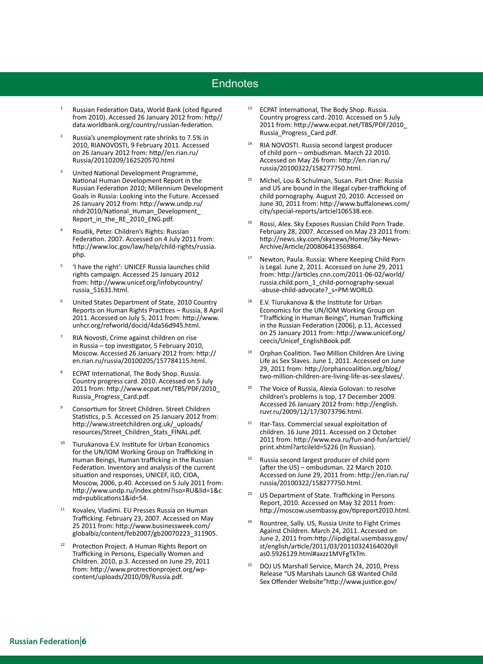## **Endnotes**

- Russian Federation Data, World Bank (cited figured from 2010). Accessed 26 January 2012 from: http// data.worldbank.org/country/russian-federation.
- <sup>2</sup> Russia's unemployment rate shrinks to 7.5% in 2010, RIANOVOSTI, 9 February 2011. Accessed on 26 January 2012 from: http//en.rian.ru/ Russia/20110209/162520570.html
- <sup>3</sup> United National Development Programme, National Human Development Report in the Russian Federation 2010; Millennium Development Goals in Russia: Looking into the Future. Accessed 26 January 2012 from: http://www.undp.ru/ nhdr2010/National\_Human\_Development\_ Report in the RE 2010 ENG.pdf.
- <sup>4</sup> Roudik, Peter. Children's Rights: Russian Federation. 2007. Accessed on 4 July 2011 from: http://www.loc.gov/law/help/child-rights/russia. php.
- <sup>5</sup> 'I have the right': UNICEF Russia launches child rights campaign. Accessed 25 January 2012 from: http://www.unicef.org/infobycountry/ russia\_51631.html.
- United States Department of State, 2010 Country Reports on Human Rights Practices – Russia, 8 April 2011. Accessed on July 5, 2011 from: http://www. unhcr.org/refworld/docid/4da56d945.html.
- RIA Novosti, Crime against children on rise in Russia – top investigator, 5 February 2010, Moscow. Accessed 26 January 2012 from: http:// en.rian.ru/russia/20100205/157784115.html.
- ECPAT International, The Body Shop. Russia. Country progress card. 2010. Accessed on 5 July 2011 from: http://www.ecpat.net/TBS/PDF/2010\_ Russia\_Progress\_Card.pdf.
- <sup>9</sup> Consortium for Street Children. Street Children Statistics, p.5. Accessed on 25 January 2012 from: http://www.streetchildren.org.uk/\_uploads/ resources/Street\_Children\_Stats\_FINAL.pdf.
- <sup>10</sup> Tiurukanova E.V. Institute for Urban Economics for the UN/IOM Working Group on Trafficking in Human Beings, Human trafficking in the Russian Federation. Inventory and analysis of the current situation and responses, UNICEF, ILO, CIDA, Moscow, 2006, p.40. Accessed on 5 July 2011 from: http://www.undp.ru/index.phtml?iso=RU&lid=1&c md=publications1&id=54.
- <sup>11</sup> Kovalev, Vladimi. EU Presses Russia on Human Trafficking. February 23, 2007. Accessed on May 25 2011 from: http://www.businessweek.com/ globalbiz/content/feb2007/gb20070223\_311905.
- Protection Project. A Human Rights Report on Trafficking in Persons, Especially Women and Children. 2010, p.3. Accessed on June 29, 2011 from: http://www.protrectionproject.org/wpcontent/uploads/2010/09/Russia.pdf.
- ECPAT International, The Body Shop. Russia. Country progress card. 2010. Accessed on 5 July 2011 from: http://www.ecpat.net/TBS/PDF/2010\_ Russia\_Progress\_Card.pdf.
- <sup>14</sup> RIA NOVOSTI. Russia second largest producer of child porn – ombudsman. March 22 2010. Accessed on May 26 from: http://en.rian.ru/ russia/20100322/158277750.html.
- Michel, Lou & Schulman, Susan. Part One: Russia and US are bound in the illegal cyber-trafficking of child pornography. August 20, 2010. Accessed on June 30, 2011 from: http://www.buffalonews.com/ city/special-reports/artciel106538.ece.
- <sup>16</sup> Rossi, Alex. Sky Exposes Russian Child Porn Trade. February 28, 2007. Accessed on May 23 2011 from: http://news.sky.com/skynews/Home/Sky-News-Archive/Article/200806413569864.
- <sup>17</sup> Newton, Paula. Russia: Where Keeping Child Porn is Legal. June 2, 2011. Accessed on June 29, 2011 from: http://articles.cnn.com/2011-06-02/world/ russia.child.porn\_1\_child-pornography-sexual -abuse-child-advocate? s=PM:WORLD.
- <sup>18</sup> E.V. Tiurukanova & the Institute for Urban Economics for the UN/IOM Working Group on "Trafficking in Human Beings", Human Trafficking in the Russian Federation (2006), p.11, Accessed on 25 January 2011 from: http://www.unicef.org/ ceecis/Unicef\_EnglishBook.pdf.
- <sup>19</sup> Orphan Coalition. Two Million Children Are Living Life as Sex Slaves. June 1, 2011. Accessed on June 29, 2011 from: http://orphancoalition.org/blog/ two-million-children-are-living-life-as-sex-slaves/.
- The Voice of Russia, Alexia Golovan: to resolve children's problems is top, 17 December 2009. Accessed 26 January 2012 from: http://english. ruvr.ru/2009/12/17/3073796.html.
- <sup>21</sup> Itar-Tass. Commercial sexual exploitation of children. 16 June 2011. Accessed on 2 October 2011 from: http://www.eva.ru/fun-and-fun/artciel/ print.xhtml?artcileId=5226 (In Russian).
- Russia second largest producer of child porn (after the US) – ombudsman. 22 March 2010. Accessed on June 29, 2011 from: http://en.rian.ru/ russia/20100322/158277750.html.
- <sup>23</sup> US Department of State. Trafficking in Persons Report, 2010. Accessed on May 32 2011 from: http://moscow.usembassy.gov/tipreport2010.html.
- <sup>24</sup> Rountree, Sally. US, Russia Unite to Fight Crimes Against Children. March 24, 2011. Accessed on June 2, 2011 from:http://iipdigital.usembassy.gov/ st/english/article/2011/03/20110324164020yll as0.5926129.html#axzz1MVFgTkTm.
- <sup>25</sup> DOJ US Marshall Service, March 24, 2010, Press Release "US Marshals Launch G8 Wanted Child Sex Offender Website"http://www.justice.gov/